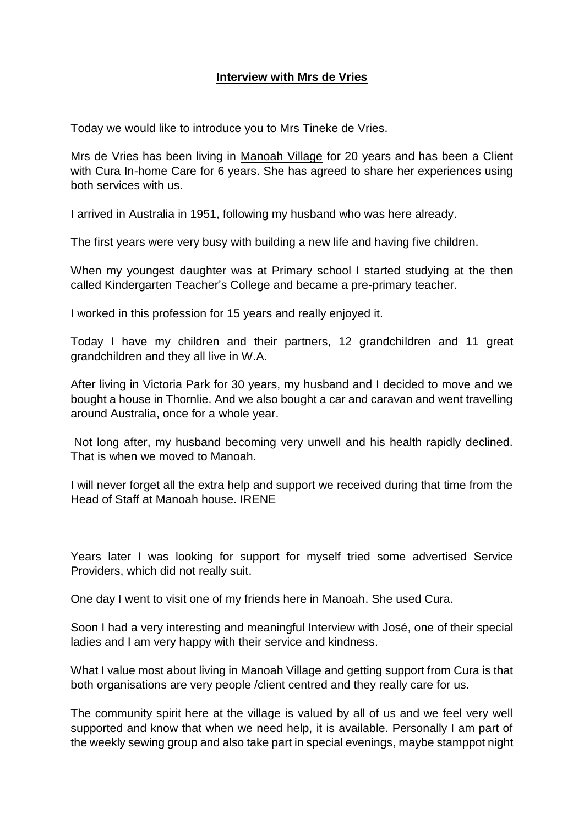## **Interview with Mrs de Vries**

Today we would like to introduce you to Mrs Tineke de Vries.

Mrs de Vries has been living in Manoah Village for 20 years and has been a Client with Cura In-home Care for 6 years. She has agreed to share her experiences using both services with us.

I arrived in Australia in 1951, following my husband who was here already.

The first years were very busy with building a new life and having five children.

When my youngest daughter was at Primary school I started studying at the then called Kindergarten Teacher's College and became a pre-primary teacher.

I worked in this profession for 15 years and really enjoyed it.

Today I have my children and their partners, 12 grandchildren and 11 great grandchildren and they all live in W.A.

After living in Victoria Park for 30 years, my husband and I decided to move and we bought a house in Thornlie. And we also bought a car and caravan and went travelling around Australia, once for a whole year.

Not long after, my husband becoming very unwell and his health rapidly declined. That is when we moved to Manoah.

I will never forget all the extra help and support we received during that time from the Head of Staff at Manoah house. IRENE

Years later I was looking for support for myself tried some advertised Service Providers, which did not really suit.

One day I went to visit one of my friends here in Manoah. She used Cura.

Soon I had a very interesting and meaningful Interview with José, one of their special ladies and I am very happy with their service and kindness.

What I value most about living in Manoah Village and getting support from Cura is that both organisations are very people /client centred and they really care for us.

The community spirit here at the village is valued by all of us and we feel very well supported and know that when we need help, it is available. Personally I am part of the weekly sewing group and also take part in special evenings, maybe stamppot night